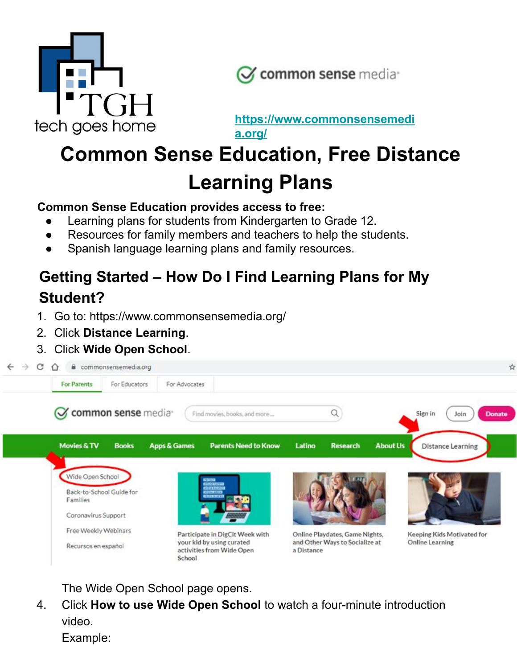



**[https://www.commonsensemedi](https://www.commonsensemedia.org/) [a.org/](https://www.commonsensemedia.org/)**

# **Common Sense Education, Free Distance Learning Plans**

#### **Common Sense Education provides access to free:**

- Learning plans for students from Kindergarten to Grade 12.
- Resources for family members and teachers to help the students.
- Spanish language learning plans and family resources.

# **Getting Started – How Do I Find Learning Plans for My Student?**

- 1. Go to: https://www.commonsensemedia.org/
- 2. Click **Distance Learning**.
- 3. Click **Wide Open School**.



The Wide Open School page opens.

4. Click **How to use Wide Open School** to watch a four-minute introduction video.

Example: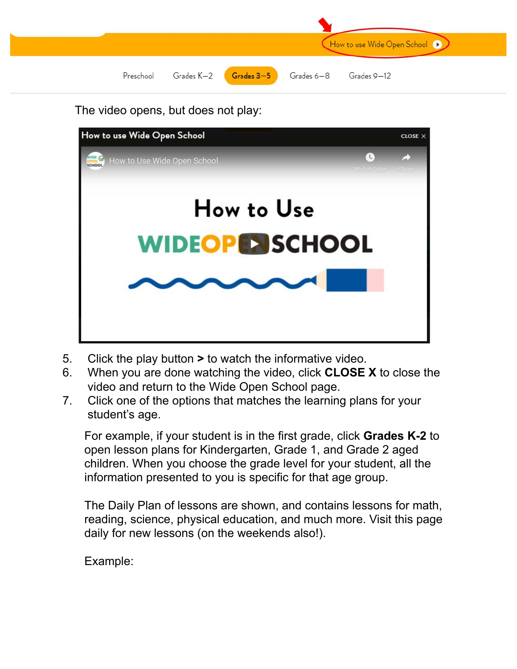

The video opens, but does not play:



- 5. Click the play button **>** to watch the informative video.
- 6. When you are done watching the video, click **CLOSE X** to close the video and return to the Wide Open School page.
- 7. Click one of the options that matches the learning plans for your student's age.

For example, if your student is in the first grade, click **Grades K-2** to open lesson plans for Kindergarten, Grade 1, and Grade 2 aged children. When you choose the grade level for your student, all the information presented to you is specific for that age group.

The Daily Plan of lessons are shown, and contains lessons for math, reading, science, physical education, and much more. Visit this page daily for new lessons (on the weekends also!).

Example: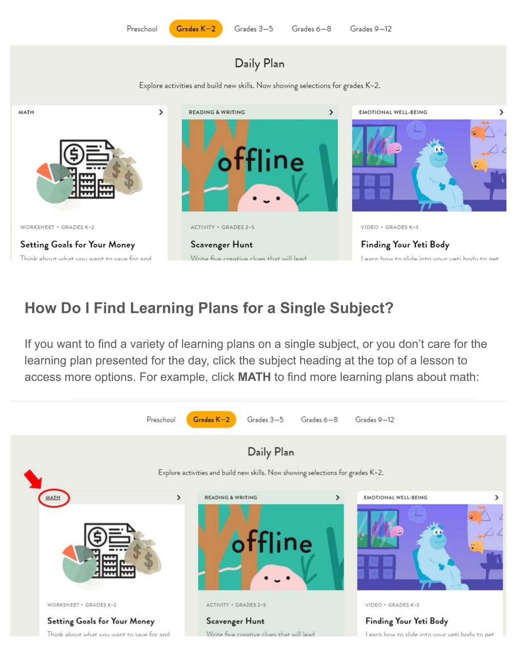Grades  $K-2$ 

#### Daily Plan

Explore activities and build new skills. Now showing selections for grades K-2.



### **How Do I Find Learning Plans for a Single Subject?**

If you want to find a variety of learning plans on a single subject, or you don't care for the learning plan presented for the day, click the subject heading at the top of a lesson to access more options. For example, click **MATH** to find more learning plans about math:

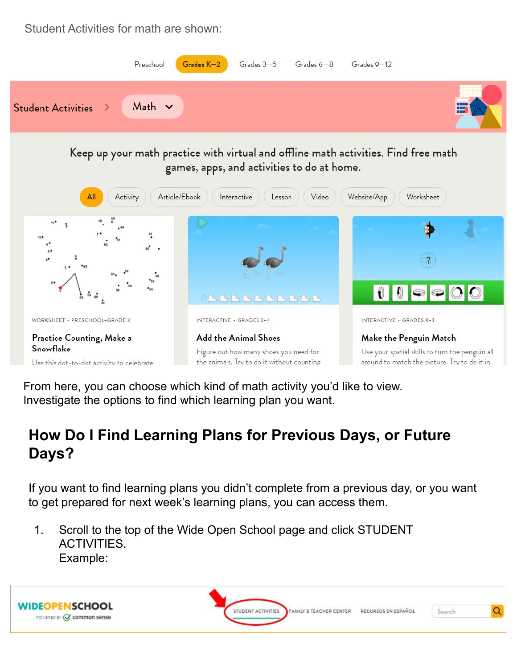Student Activities for math are shown:



Keep up your math practice with virtual and offline math activities. Find free math games, apps, and activities to do at home.



From here, you can choose which kind of math activity you'd like to view. Investigate the options to find which learning plan you want.

## **How Do I Find Learning Plans for Previous Days, or Future Days?**

If you want to find learning plans you didn't complete from a previous day, or you want to get prepared for next week's learning plans, you can access them.

1. Scroll to the top of the Wide Open School page and click STUDENT ACTIVITIES. Example:

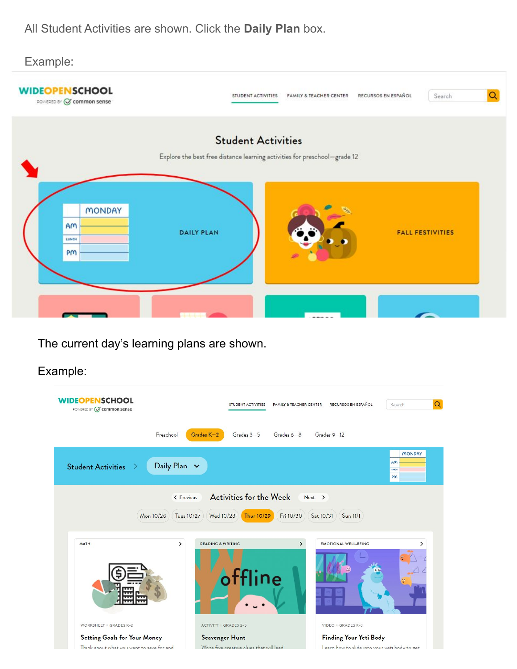All Student Activities are shown. Click the **Daily Plan** box.



The current day's learning plans are shown.

#### Example:

| <b>WIDEOPENSCHOOL</b><br>POWERED BY V common sense                        | STUDENT ACTIVITIES                                                                    | RECURSOS EN ESPAÑOL<br>Search<br><b>FAMILY &amp; TEACHER CENTER</b>     | Q             |
|---------------------------------------------------------------------------|---------------------------------------------------------------------------------------|-------------------------------------------------------------------------|---------------|
| Preschool                                                                 | $Gra$ des $K-2$<br>Grades 3-5                                                         | Grades $6-8$<br>$Grades 9-12$                                           |               |
| <b>Student Activities</b>                                                 | Daily Plan $\sim$                                                                     | Am<br>LUNCH<br>PM                                                       | <b>MONDAY</b> |
| Mon 10/26                                                                 | Activities for the Week<br>< Previous<br><b>Thur 10/29</b><br>Tues 10/27<br>Wed 10/28 | $Next$ ><br>Fri 10/30<br>Sat 10/31<br>Sun 11/1                          |               |
|                                                                           | <b>READING &amp; WRITING</b>                                                          |                                                                         |               |
| <b>MATH</b>                                                               | $\rightarrow$<br>offline                                                              | $\mathcal{E}$<br><b>EMOTIONAL WELL-BEING</b>                            |               |
| <b>WORKSHEET · GRADES K-2</b>                                             | <b>ACTIVITY · GRADES 2-5</b>                                                          | VIDEO · GRADES K-3                                                      |               |
| Setting Goals for Your Money<br>Think about what you want to save for and | <b>Scavenger Hunt</b><br>Write five creative clues that will lead                     | Finding Your Yeti Body<br>Learn how to slide into your veti body to get |               |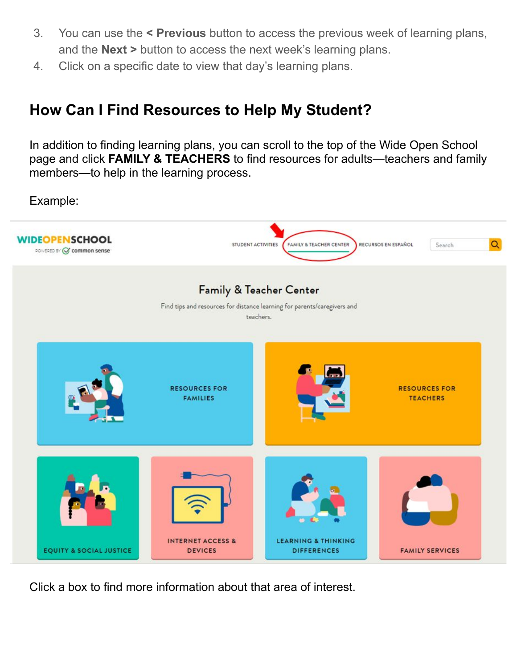- 3. You can use the **< Previous** button to access the previous week of learning plans, and the **Next >** button to access the next week's learning plans.
- 4. Click on a specific date to view that day's learning plans.

#### **How Can I Find Resources to Help My Student?**

In addition to finding learning plans, you can scroll to the top of the Wide Open School page and click **FAMILY & TEACHERS** to find resources for adults—teachers and family members—to help in the learning process.

Example:



Click a box to find more information about that area of interest.